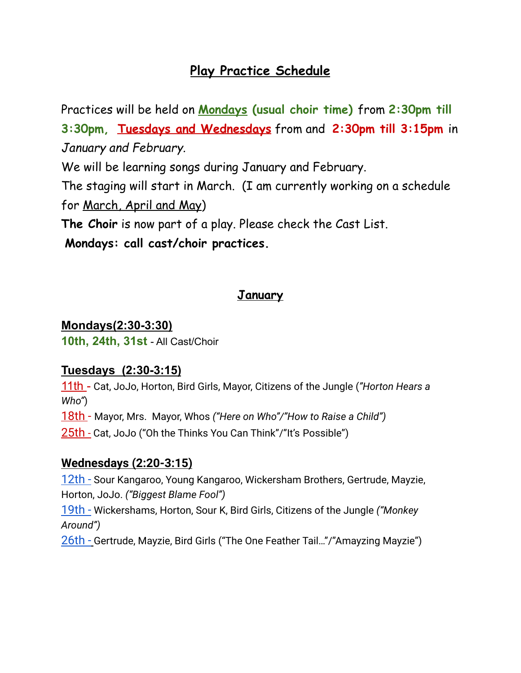## **Play Practice Schedule**

Practices will be held on **Mondays (usual choir time)** from **2:30pm till 3:30pm, Tuesdays and Wednesdays** from and **2:30pm till 3:15pm** in *January and February.*

We will be learning songs during January and February.

The staging will start in March. (I am currently working on a schedule for March, April and May)

**The Choir** is now part of a play. Please check the Cast List.

**Mondays: call cast/choir practices.**

## **January**

#### **Mondays(2:30-3:30)**

**10th, 24th, 31st** - All Cast/Choir

#### **Tuesdays (2:30-3:15)**

11th - Cat, JoJo, Horton, Bird Girls, Mayor, Citizens of the Jungle (*"Horton Hears a Who"*)

18th - Mayor, Mrs. Mayor, Whos *("Here on Who"/"How to Raise a Child")*

25th - Cat, JoJo ("Oh the Thinks You Can Think"/"It's Possible")

#### **Wednesdays (2:20-3:15)**

12th - Sour Kangaroo, Young Kangaroo, Wickersham Brothers, Gertrude, Mayzie, Horton, JoJo. *("Biggest Blame Fool")* 19th - Wickershams, Horton, Sour K, Bird Girls, Citizens of the Jungle *("Monkey Around")* 26th - Gertrude, Mayzie, Bird Girls ("The One Feather Tail…"/"Amayzing Mayzie")